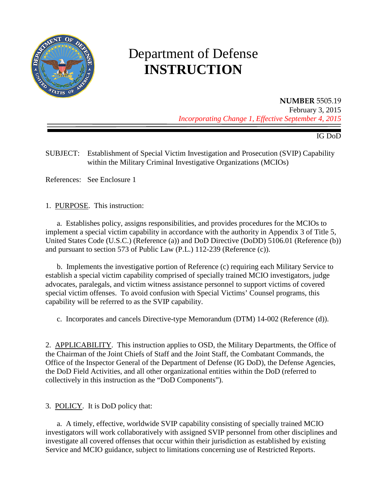

# Department of Defense **INSTRUCTION**

**NUMBER** 5505.19 February 3, 2015 *Incorporating Change 1, Effective September 4, 2015*

IG DoD

SUBJECT: Establishment of Special Victim Investigation and Prosecution (SVIP) Capability within the Military Criminal Investigative Organizations (MCIOs)

References: See Enclosure 1

1. PURPOSE. This instruction:

a. Establishes policy, assigns responsibilities, and provides procedures for the MCIOs to implement a special victim capability in accordance with the authority in Appendix 3 of Title 5, United States Code (U.S.C.) (Reference (a)) and DoD Directive (DoDD) 5106.01 (Reference (b)) and pursuant to section 573 of Public Law (P.L.) 112-239 (Reference (c)).

b. Implements the investigative portion of Reference (c) requiring each Military Service to establish a special victim capability comprised of specially trained MCIO investigators, judge advocates, paralegals, and victim witness assistance personnel to support victims of covered special victim offenses. To avoid confusion with Special Victims' Counsel programs, this capability will be referred to as the SVIP capability.

c. Incorporates and cancels Directive-type Memorandum (DTM) 14-002 (Reference (d)).

2. APPLICABILITY. This instruction applies to OSD, the Military Departments, the Office of the Chairman of the Joint Chiefs of Staff and the Joint Staff, the Combatant Commands, the Office of the Inspector General of the Department of Defense (IG DoD), the Defense Agencies, the DoD Field Activities, and all other organizational entities within the DoD (referred to collectively in this instruction as the "DoD Components").

3. POLICY. It is DoD policy that:

a. A timely, effective, worldwide SVIP capability consisting of specially trained MCIO investigators will work collaboratively with assigned SVIP personnel from other disciplines and investigate all covered offenses that occur within their jurisdiction as established by existing Service and MCIO guidance, subject to limitations concerning use of Restricted Reports.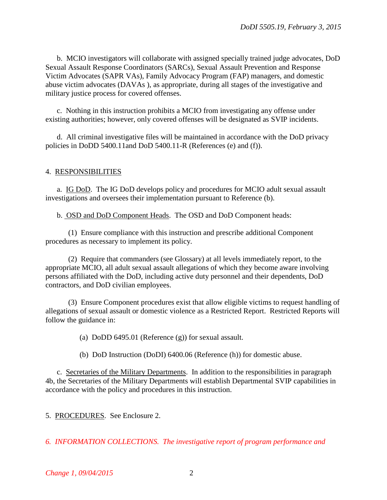b. MCIO investigators will collaborate with assigned specially trained judge advocates, DoD Sexual Assault Response Coordinators (SARCs), Sexual Assault Prevention and Response Victim Advocates (SAPR VAs), Family Advocacy Program (FAP) managers, and domestic abuse victim advocates (DAVAs ), as appropriate, during all stages of the investigative and military justice process for covered offenses.

c. Nothing in this instruction prohibits a MCIO from investigating any offense under existing authorities; however, only covered offenses will be designated as SVIP incidents.

d. All criminal investigative files will be maintained in accordance with the DoD privacy policies in DoDD 5400.11and DoD 5400.11-R (References (e) and (f)).

#### 4. RESPONSIBILITIES

a. IG DoD. The IG DoD develops policy and procedures for MCIO adult sexual assault investigations and oversees their implementation pursuant to Reference (b).

b. OSD and DoD Component Heads. The OSD and DoD Component heads:

(1) Ensure compliance with this instruction and prescribe additional Component procedures as necessary to implement its policy.

(2) Require that commanders (see Glossary) at all levels immediately report, to the appropriate MCIO, all adult sexual assault allegations of which they become aware involving persons affiliated with the DoD, including active duty personnel and their dependents, DoD contractors, and DoD civilian employees.

(3) Ensure Component procedures exist that allow eligible victims to request handling of allegations of sexual assault or domestic violence as a Restricted Report. Restricted Reports will follow the guidance in:

(a) DoDD 6495.01 (Reference (g)) for sexual assault.

(b) DoD Instruction (DoDI) 6400.06 (Reference (h)) for domestic abuse.

c. Secretaries of the Military Departments. In addition to the responsibilities in paragraph 4b, the Secretaries of the Military Departments will establish Departmental SVIP capabilities in accordance with the policy and procedures in this instruction.

5. PROCEDURES. See Enclosure 2.

*6. INFORMATION COLLECTIONS. The investigative report of program performance and*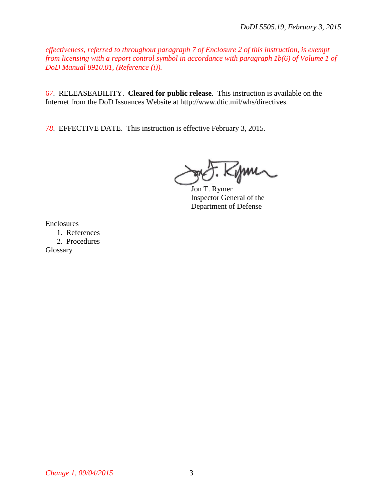*effectiveness, referred to throughout paragraph 7 of Enclosure 2 of this instruction, is exempt from licensing with a report control symbol in accordance with paragraph 1b(6) of Volume 1 of DoD Manual 8910.01, (Reference (i)).*

6*7*. RELEASEABILITY. **Cleared for public release**. This instruction is available on the Internet from the DoD Issuances Website at http://www.dtic.mil/whs/directives.

7*8*. EFFECTIVE DATE. This instruction is effective February 3, 2015.

Kym

Jon T. Rymer Inspector General of the Department of Defense

Enclosures

1. References 2. Procedures **Glossary** 

*Change 1, 09/04/2015* 3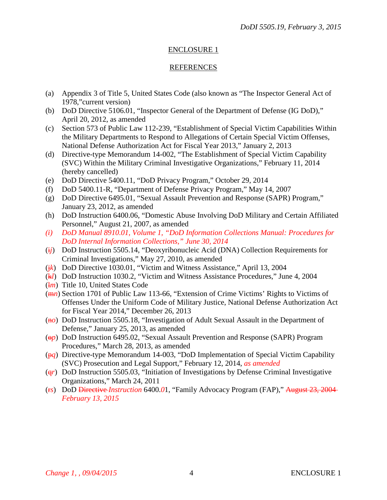## ENCLOSURE 1

### REFERENCES

- (a) Appendix 3 of Title 5, United States Code (also known as "The Inspector General Act of 1978,"current version)
- (b) DoD Directive 5106.01, "Inspector General of the Department of Defense (IG DoD)," April 20, 2012, as amended
- (c) Section 573 of Public Law 112-239, "Establishment of Special Victim Capabilities Within the Military Departments to Respond to Allegations of Certain Special Victim Offenses, National Defense Authorization Act for Fiscal Year 2013," January 2, 2013
- (d) Directive-type Memorandum 14-002, "The Establishment of Special Victim Capability (SVC) Within the Military Criminal Investigative Organizations," February 11, 2014 (hereby cancelled)
- (e) DoD Directive 5400.11, "DoD Privacy Program," October 29, 2014
- (f) DoD 5400.11-R, "Department of Defense Privacy Program," May 14, 2007
- (g) DoD Directive 6495.01, "Sexual Assault Prevention and Response (SAPR) Program," January 23, 2012, as amended
- (h) DoD Instruction 6400.06, "Domestic Abuse Involving DoD Military and Certain Affiliated Personnel," August 21, 2007, as amended
- *(i) DoD Manual 8910.01, Volume 1, "DoD Information Collections Manual: Procedures for DoD Internal Information Collections," June 30, 2014*
- (i*j*) DoD Instruction 5505.14, "Deoxyribonucleic Acid (DNA) Collection Requirements for Criminal Investigations," May 27, 2010, as amended
- (*jk*) DoD Directive 1030.01, "Victim and Witness Assistance," April 13, 2004
- (k*l*) DoD Instruction 1030.2, "Victim and Witness Assistance Procedures," June 4, 2004
- (l*m*) Title 10, United States Code
- (m*n*) Section 1701 of Public Law 113-66, "Extension of Crime Victims' Rights to Victims of Offenses Under the Uniform Code of Military Justice, National Defense Authorization Act for Fiscal Year 2014," December 26, 2013
- (no) DoD Instruction 5505.18, "Investigation of Adult Sexual Assault in the Department of Defense," January 25, 2013, as amended
- ( $\Theta$ *p*) DoD Instruction 6495.02, "Sexual Assault Prevention and Response (SAPR) Program Procedures," March 28, 2013, as amended
- (p*q*) Directive-type Memorandum 14-003, "DoD Implementation of Special Victim Capability (SVC) Prosecution and Legal Support," February 12, 2014, *as amended*
- (q*r*) DoD Instruction 5505.03, "Initiation of Investigations by Defense Criminal Investigative Organizations," March 24, 2011
- (r*s*) DoD Directive *Instruction* 6400.*0*1, "Family Advocacy Program (FAP)," August 23, 2004 *February 13, 2015*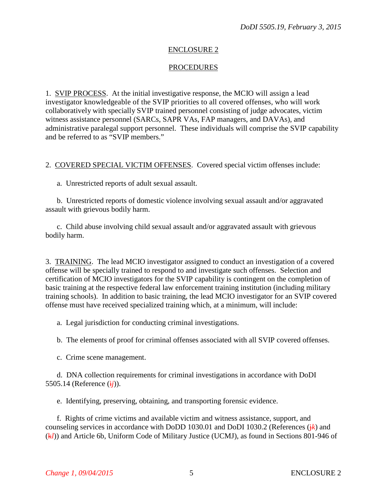## ENCLOSURE 2

## PROCEDURES

1. SVIP PROCESS. At the initial investigative response, the MCIO will assign a lead investigator knowledgeable of the SVIP priorities to all covered offenses, who will work collaboratively with specially SVIP trained personnel consisting of judge advocates, victim witness assistance personnel (SARCs, SAPR VAs, FAP managers, and DAVAs), and administrative paralegal support personnel. These individuals will comprise the SVIP capability and be referred to as "SVIP members."

2. COVERED SPECIAL VICTIM OFFENSES. Covered special victim offenses include:

a. Unrestricted reports of adult sexual assault.

b. Unrestricted reports of domestic violence involving sexual assault and/or aggravated assault with grievous bodily harm.

c. Child abuse involving child sexual assault and/or aggravated assault with grievous bodily harm.

3. TRAINING. The lead MCIO investigator assigned to conduct an investigation of a covered offense will be specially trained to respond to and investigate such offenses. Selection and certification of MCIO investigators for the SVIP capability is contingent on the completion of basic training at the respective federal law enforcement training institution (including military training schools). In addition to basic training, the lead MCIO investigator for an SVIP covered offense must have received specialized training which, at a minimum, will include:

a. Legal jurisdiction for conducting criminal investigations.

b. The elements of proof for criminal offenses associated with all SVIP covered offenses.

c. Crime scene management.

d. DNA collection requirements for criminal investigations in accordance with DoDI 5505.14 (Reference (i*j*)).

e. Identifying, preserving, obtaining, and transporting forensic evidence.

f. Rights of crime victims and available victim and witness assistance, support, and counseling services in accordance with DoDD 1030.01 and DoDI 1030.2 (References  $(k)$ ) and (k*l*)) and Article 6b, Uniform Code of Military Justice (UCMJ), as found in Sections 801-946 of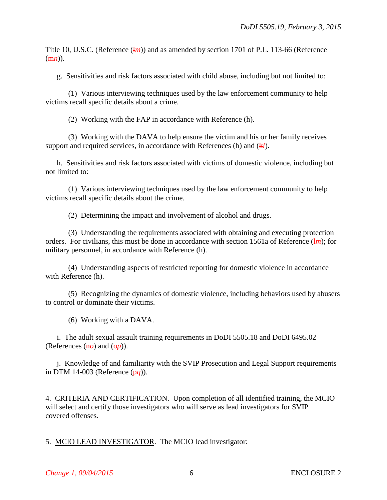Title 10, U.S.C. (Reference (*lm*)) and as amended by section 1701 of P.L. 113-66 (Reference  $(\overline{mn})$ ).

g. Sensitivities and risk factors associated with child abuse, including but not limited to:

(1) Various interviewing techniques used by the law enforcement community to help victims recall specific details about a crime.

(2) Working with the FAP in accordance with Reference (h).

(3) Working with the DAVA to help ensure the victim and his or her family receives support and required services, in accordance with References (h) and  $(kl)$ .

h. Sensitivities and risk factors associated with victims of domestic violence, including but not limited to:

(1) Various interviewing techniques used by the law enforcement community to help victims recall specific details about the crime.

(2) Determining the impact and involvement of alcohol and drugs.

(3) Understanding the requirements associated with obtaining and executing protection orders. For civilians, this must be done in accordance with section 1561a of Reference (*lm*); for military personnel, in accordance with Reference (h).

(4) Understanding aspects of restricted reporting for domestic violence in accordance with Reference (h).

(5) Recognizing the dynamics of domestic violence, including behaviors used by abusers to control or dominate their victims.

(6) Working with a DAVA.

i. The adult sexual assault training requirements in DoDI 5505.18 and DoDI 6495.02 (References  $(\overline{h}o)$  and  $(\overline{\theta}p)$ ).

j. Knowledge of and familiarity with the SVIP Prosecution and Legal Support requirements in DTM 14-003 (Reference (p*q*)).

4. CRITERIA AND CERTIFICATION. Upon completion of all identified training, the MCIO will select and certify those investigators who will serve as lead investigators for SVIP covered offenses.

5. MCIO LEAD INVESTIGATOR. The MCIO lead investigator: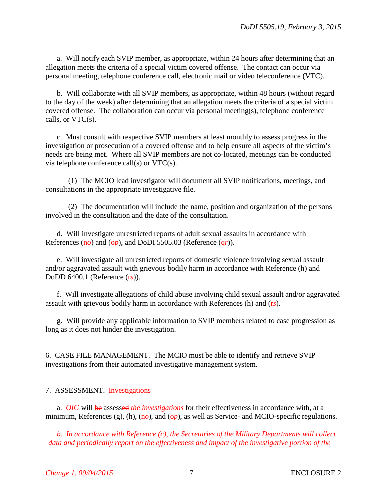a. Will notify each SVIP member, as appropriate, within 24 hours after determining that an allegation meets the criteria of a special victim covered offense. The contact can occur via personal meeting, telephone conference call, electronic mail or video teleconference (VTC).

b. Will collaborate with all SVIP members, as appropriate, within 48 hours (without regard to the day of the week) after determining that an allegation meets the criteria of a special victim covered offense. The collaboration can occur via personal meeting(s), telephone conference calls, or  $VTC(s)$ .

c. Must consult with respective SVIP members at least monthly to assess progress in the investigation or prosecution of a covered offense and to help ensure all aspects of the victim's needs are being met. Where all SVIP members are not co-located, meetings can be conducted via telephone conference call(s) or VTC(s).

(1) The MCIO lead investigator will document all SVIP notifications, meetings, and consultations in the appropriate investigative file.

(2) The documentation will include the name, position and organization of the persons involved in the consultation and the date of the consultation.

d. Will investigate unrestricted reports of adult sexual assaults in accordance with References ( $\overline{h}$ *o*) and ( $\overline{\theta}$ *p*), and DoDI 5505.03 (Reference ( $\overline{q}$ *r*)).

e. Will investigate all unrestricted reports of domestic violence involving sexual assault and/or aggravated assault with grievous bodily harm in accordance with Reference (h) and DoDD 6400.1 (Reference (r*s*)).

f. Will investigate allegations of child abuse involving child sexual assault and/or aggravated assault with grievous bodily harm in accordance with References (h) and ( $\epsilon$ *s*).

g. Will provide any applicable information to SVIP members related to case progression as long as it does not hinder the investigation.

6. CASE FILE MANAGEMENT. The MCIO must be able to identify and retrieve SVIP investigations from their automated investigative management system.

### 7. ASSESSMENT. Investigations

a. *OIG* will be assessed *the investigations* for their effectiveness in accordance with, at a minimum, References (g), (h),  $(\overline{h}o)$ , and  $(\overline{\theta}p)$ , as well as Service- and MCIO-specific regulations.

*b. In accordance with Reference (c), the Secretaries of the Military Departments will collect data and periodically report on the effectiveness and impact of the investigative portion of the*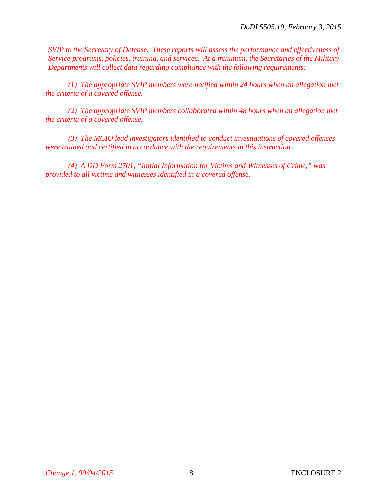*SVIP to the Secretary of Defense. These reports will assess the performance and effectiveness of Service programs, policies, training, and services. At a minimum, the Secretaries of the Military Departments will collect data regarding compliance with the following requirements:*

*(1) The appropriate SVIP members were notified within 24 hours when an allegation met the criteria of a covered offense.*

*(2) The appropriate SVIP members collaborated within 48 hours when an allegation met the criteria of a covered offense.* 

*(3) The MCIO lead investigators identified to conduct investigations of covered offenses were trained and certified in accordance with the requirements in this instruction.*

*(4) A DD Form 2701, "Initial Information for Victims and Witnesses of Crime," was provided to all victims and witnesses identified in a covered offense.*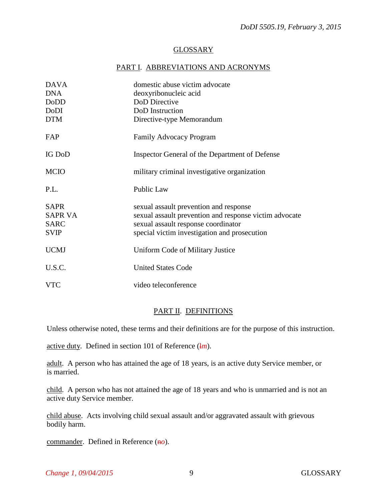#### GLOSSARY

#### PART I. ABBREVIATIONS AND ACRONYMS

| <b>DAVA</b><br><b>DNA</b><br><b>DoDD</b>                    | domestic abuse victim advocate<br>deoxyribonucleic acid<br>DoD Directive                                                                                                                |
|-------------------------------------------------------------|-----------------------------------------------------------------------------------------------------------------------------------------------------------------------------------------|
| DoDI<br><b>DTM</b>                                          | DoD Instruction<br>Directive-type Memorandum                                                                                                                                            |
| FAP                                                         | <b>Family Advocacy Program</b>                                                                                                                                                          |
| <b>IG DoD</b>                                               | Inspector General of the Department of Defense                                                                                                                                          |
| <b>MCIO</b>                                                 | military criminal investigative organization                                                                                                                                            |
| P.L.                                                        | Public Law                                                                                                                                                                              |
| <b>SAPR</b><br><b>SAPR VA</b><br><b>SARC</b><br><b>SVIP</b> | sexual assault prevention and response<br>sexual assault prevention and response victim advocate<br>sexual assault response coordinator<br>special victim investigation and prosecution |
| <b>UCMJ</b>                                                 | Uniform Code of Military Justice                                                                                                                                                        |
| U.S.C.                                                      | <b>United States Code</b>                                                                                                                                                               |
| <b>VTC</b>                                                  | video teleconference                                                                                                                                                                    |

#### PART II. DEFINITIONS

Unless otherwise noted, these terms and their definitions are for the purpose of this instruction.

<u>active duty</u>. Defined in section 101 of Reference  $(\frac{1}{m})$ .

adult. A person who has attained the age of 18 years, is an active duty Service member, or is married.

child. A person who has not attained the age of 18 years and who is unmarried and is not an active duty Service member.

child abuse. Acts involving child sexual assault and/or aggravated assault with grievous bodily harm.

commander. Defined in Reference ( $\theta$ *o*).